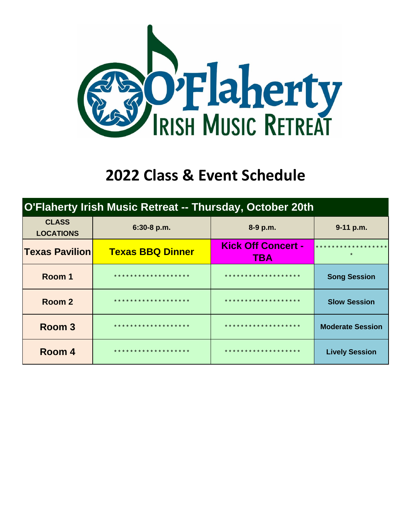

## **2022 Class & Event Schedule**

|                                  | <b>O'Flaherty Irish Music Retreat -- Thursday, October 20th</b> |                                         |                                                |
|----------------------------------|-----------------------------------------------------------------|-----------------------------------------|------------------------------------------------|
| <b>CLASS</b><br><b>LOCATIONS</b> | 6:30-8 p.m.                                                     | 8-9 p.m.                                | 9-11 p.m.                                      |
| <b>Texas Pavilion</b>            | <b>Texas BBQ Dinner</b>                                         | <b>Kick Off Concert -</b><br><b>TBA</b> | * * * * * * * * * * * * * * * * * *<br>$\star$ |
| Room 1                           | * * * * * * * * * * * * * * * * * * *                           | * * * * * * * * * * * * * * * * * * *   | <b>Song Session</b>                            |
| Room 2                           | * * * * * * * * * * * * * * * * * * *                           | * * * * * * * * * * * * * * * * * * *   | <b>Slow Session</b>                            |
| Room 3                           | * * * * * * * * * * * * * * * * * * *                           | * * * * * * * * * * * * * * * * * * *   | <b>Moderate Session</b>                        |
| Room 4                           | * * * * * * * * * * * * * * * * * * *                           | * * * * * * * * * * * * * * * * * * *   | <b>Lively Session</b>                          |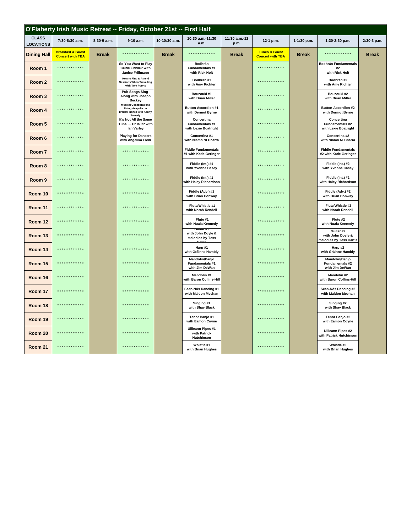|                                  |                                                         |              | O'Flaherty Irish Music Retreat -- Friday, October 21st -- First Half                     |               |                                                        |                       |                                                     |              |                                                           |              |
|----------------------------------|---------------------------------------------------------|--------------|------------------------------------------------------------------------------------------|---------------|--------------------------------------------------------|-----------------------|-----------------------------------------------------|--------------|-----------------------------------------------------------|--------------|
| <b>CLASS</b><br><b>LOCATIONS</b> | 7:30-8:30 a.m.                                          | 8:30-9 a.m.  | 9-10 a.m.                                                                                | 10-10:30 a.m. | 10:30 a.m.-11:30<br>a.m.                               | 11:30 a.m.-12<br>p.m. | 12-1 p.m.                                           | 1-1:30 p.m.  | 1:30-2:30 p.m.                                            | 2:30-3 p.m.  |
| <b>Dining Hall</b>               | <b>Breakfast &amp; Guest</b><br><b>Concert with TBA</b> | <b>Break</b> | .                                                                                        | <b>Break</b>  | ************                                           | <b>Break</b>          | <b>Lunch &amp; Guest</b><br><b>Concert with TBA</b> | <b>Break</b> | ************                                              | <b>Break</b> |
| Room 1                           | .                                                       |              | So You Want to Play<br>Celtic Fiddle? with<br>Janice Frillmann                           |               | Bodhrán<br>Fundamentals #1<br>with Rick Holt           |                       | .                                                   |              | <b>Bodhrán Fundamentals</b><br>#2<br>with Rick Holt       |              |
| Room <sub>2</sub>                | .                                                       |              | How to Find & Attend<br><b>Sessions When Travelling</b><br>with Tom Purvis               |               | Bodhrán #1<br>with Amy Richter                         |                       | .                                                   |              | Bodhrán #2<br>with Amy Richter                            |              |
| Room 3                           | .                                                       |              | Pub Songs Sing-<br>Along with Joseph<br><b>Beckey</b>                                    |               | Bouzouki #1<br>with Brian Miller                       |                       | .                                                   |              | Bouzouki #2<br>with Brian Miller                          |              |
| Room 4                           | .                                                       |              | <b>Musical Collaborations</b><br>Using Acapella on<br>iPads/iPhones with Kenny<br>Tweedy |               | <b>Button Accordion #1</b><br>with Dermot Byrne        |                       |                                                     |              | <b>Button Accordion #2</b><br>with Dermot Byrne           |              |
| Room 5                           | .                                                       |              | It's Not All the Same<br>Tune  Or Is It? with<br>lan Varley                              |               | Concertina<br>Fundamentals #1<br>with Lexie Boatright  |                       | .                                                   |              | Concertina<br>Fundamentals #2<br>with Lexie Boatright     |              |
| Room 6                           | . <b>.</b> .                                            |              | <b>Playing for Dancers</b><br>with Angelika Eleni                                        |               | Concertina #1<br>with Niamh Ní Charra                  |                       | .                                                   |              | Concertina #2<br>with Niamh Ní Charra                     |              |
| Room 7                           | * * * * * * * * * * * *                                 |              | .                                                                                        |               | <b>Fiddle Fundamentals</b><br>#1 with Katie Geringer   |                       | .                                                   |              | <b>Fiddle Fundamentals</b><br>#2 with Katie Geringer      |              |
| Room <sub>8</sub>                | .                                                       |              | .                                                                                        |               | Fiddle (Int.) #1<br>with Yvonne Casey                  |                       | .                                                   |              | Fiddle (Int.) #2<br>with Yvonne Casey                     |              |
| Room 9                           | * * * * * * * * * * * *                                 |              | .                                                                                        |               | Fiddle (Int.) #1<br>with Haley Richardson              |                       | .                                                   |              | Fiddle (Int.) #2<br>with Haley Richardson                 |              |
| Room 10                          | * * * * * * * * * * * *                                 |              | .                                                                                        |               | Fiddle (Adv.) #1<br>with Brian Conway                  |                       | .                                                   |              | Fiddle (Adv.) #2<br>with Brian Conway                     |              |
| Room 11                          | .                                                       |              | ************                                                                             |               | Flute/Whistle #1<br>with Norah Rendell                 |                       | . <b>.</b> .                                        |              | Flute/Whistle #2<br>with Norah Rendell                    |              |
| Room 12                          | .                                                       |              | ***********                                                                              |               | Flute #1<br>with Nuala Kennedy<br>Guitar #1            |                       | .                                                   |              | Flute #2<br>with Nuala Kennedy                            |              |
| Room 13                          | .                                                       |              | .                                                                                        |               | with John Doyle &<br>melodies by Tess                  |                       | .                                                   |              | Guitar #2<br>with John Doyle &<br>melodies by Tess Hartis |              |
| Room 14                          | * * * * * * * * * * * *                                 |              | .                                                                                        |               | Harp #1<br>with Gráinne Hambly                         |                       |                                                     |              | Harp #2<br>with Gráinne Hambly                            |              |
| Room 15                          | .                                                       |              | . <b>.</b> .                                                                             |               | Mandolin/Banjo<br>Fundamentals #1<br>with Jim DeWan    |                       | .                                                   |              | Mandolin/Banjo<br>Fundamentals #2<br>with Jim DeWan       |              |
| Room 16                          | .                                                       |              | .                                                                                        |               | Mandolin #1<br>with Baron Collins-Hill                 |                       | .                                                   |              | Mandolin #2<br>with Baron Collins-Hill                    |              |
| Room 17                          | * * * * * * * * * * * *                                 |              | . <i>.</i>                                                                               |               | Sean-Nós Dancing #1<br>with Maldon Meehan              |                       | .                                                   |              | Sean-Nós Dancing #2<br>with Maldon Meehan                 |              |
| Room 18                          | .                                                       |              | ***********                                                                              |               | Singing #1<br>with Shay Black                          |                       | ************                                        |              | Singing #2<br>with Shay Black                             |              |
| Room 19                          | .                                                       |              | .                                                                                        |               | Tenor Banjo #1<br>with Eamon Coyne                     |                       | .                                                   |              | Tenor Banjo #2<br>with Eamon Coyne                        |              |
| Room 20                          | * * * * * * * * * * * *                                 |              | .                                                                                        |               | <b>Uilleann Pipes #1</b><br>with Patrick<br>Hutchinson |                       | .                                                   |              | <b>Uilleann Pipes #2</b><br>with Patrick Hutchinson       |              |
| Room 21                          | ************                                            |              | ************                                                                             |               | Whistle #1<br>with Brian Hughes                        |                       |                                                     |              | Whistle #2<br>with Brian Hughes                           |              |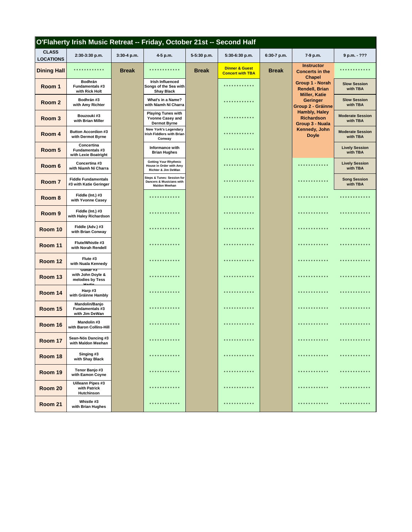|                                  | O'Flaherty Irish Music Retreat -- Friday, October 21st -- Second Half |              |                                                                                |              |                                                      |              |                                                              |                                     |
|----------------------------------|-----------------------------------------------------------------------|--------------|--------------------------------------------------------------------------------|--------------|------------------------------------------------------|--------------|--------------------------------------------------------------|-------------------------------------|
| <b>CLASS</b><br><b>LOCATIONS</b> | 2:30-3:30 p.m.                                                        | 3:30-4 p.m.  | 4-5 p.m.                                                                       | 5-5:30 p.m.  | 5:30-6:30 p.m.                                       | 6:30-7 p.m.  | 7-9 p.m.                                                     | 9 p.m. - ???                        |
| <b>Dining Hall</b>               | * * * * * * * * * * * *                                               | <b>Break</b> | * * * * * * * * * * * *                                                        | <b>Break</b> | <b>Dinner &amp; Guest</b><br><b>Concert with TBA</b> | <b>Break</b> | <b>Instructor</b><br><b>Concerts in the</b><br><b>Chapel</b> |                                     |
| Room 1                           | <b>Bodhrán</b><br><b>Fundamentals #3</b><br>with Rick Holt            |              | <b>Irish Influenced</b><br>Songs of the Sea with<br><b>Shay Black</b>          |              | * * * * * * * * * * *                                |              | Group 1 - Norah<br><b>Rendell, Brian</b>                     | <b>Slow Session</b><br>with TBA     |
| Room 2                           | Bodhrán #3<br>with Amy Richter                                        |              | What's in a Name?<br>with Niamh Ní Charra                                      |              | * * * * * * * * * * *                                |              | <b>Miller, Katie</b><br>Geringer<br>Group 2 - Gráinne        | <b>Slow Session</b><br>with TBA     |
| Room 3                           | Bouzouki #3<br>with Brian Miller                                      |              | <b>Playing Tunes with</b><br><b>Yvonne Casey and</b><br><b>Dermot Byrne</b>    |              | .                                                    |              | <b>Hambly, Haley</b><br><b>Richardson</b><br>Group 3 - Nuala | <b>Moderate Session</b><br>with TBA |
| Room 4                           | <b>Button Accordion #3</b><br>with Dermot Byrne                       |              | <b>New York's Legendary</b><br>Irish Fiddlers with Brian<br>Conway             |              | * * * * * * * * * * * *                              |              | Kennedy, John<br><b>Doyle</b>                                | <b>Moderate Session</b><br>with TBA |
| Room 5                           | Concertina<br><b>Fundamentals #3</b><br>with Lexie Boatright          |              | Informance with<br><b>Brian Hughes</b>                                         |              | * * * * * * * * * * *                                |              |                                                              | <b>Lively Session</b><br>with TBA   |
| Room 6                           | Concertina #3<br>with Niamh Ní Charra                                 |              | <b>Getting Your Rhythmic</b><br>House in Order with Amy<br>Richter & Jim DeWan |              | * * * * * * * * * * *                                |              | ************                                                 | <b>Lively Session</b><br>with TBA   |
| Room 7                           | <b>Fiddle Fundamentals</b><br>#3 with Katie Geringer                  |              | Steps & Tunes: Session for<br>Dancers & Musicians with<br><b>Maldon Meehan</b> |              | ***********                                          |              | * * * * * * * * * * *                                        | <b>Song Session</b><br>with TBA     |
| Room 8                           | Fiddle (Int.) #3<br>with Yvonne Casey                                 |              | * * * * * * * * * *                                                            |              | .                                                    |              | **********                                                   | ***********                         |
| Room 9                           | Fiddle (Int.) #3<br>with Haley Richardson                             |              | ***********                                                                    |              | . <b>* * * * * * * * *</b>                           |              | *********                                                    |                                     |
| Room 10                          | Fiddle (Adv.) #3<br>with Brian Conway                                 |              | .                                                                              |              | ***********                                          |              | ************                                                 | * * * * * * * * * *                 |
| Room 11                          | Flute/Whistle #3<br>with Norah Rendell                                |              |                                                                                |              | ************                                         |              | ***********                                                  | * * * * * * * * * *                 |
| Room 12                          | Flute #3<br>with Nuala Kennedy                                        |              | * * * * * * * * * *                                                            |              | .                                                    |              | * * * * * * * * * *                                          | * * * * * * * * * *                 |
| Room 13                          | Guitar #3<br>with John Doyle &<br>melodies by Tess<br>بزعومها         |              | * * * * * * * * * * * *                                                        |              | ***********                                          |              | ************                                                 | * * * * * * * * * *                 |
| Room 14                          | Harp #3<br>with Gráinne Hambly                                        |              | **********                                                                     |              | **********                                           |              | ************                                                 | * * * * * * * * *                   |
| Room 15                          | Mandolin/Banjo<br><b>Fundamentals #3</b><br>with Jim DeWan            |              | * * * * * * * * * * * *                                                        |              | ***********                                          |              | ************                                                 | * * * * * * * * * *                 |
| Room 16                          | Mandolin #3<br>with Baron Collins-Hill                                |              | * * * * * * * * * * * *                                                        |              | * * * * * * * * * * * *                              |              | * * * * * * * * * * * *                                      | * * * * * * * * * *                 |
| Room 17                          | Sean-Nós Dancing #3<br>with Maldon Meehan                             |              | * * * * * * * * * * * *                                                        |              | ************                                         |              | ************                                                 | * * * * * * * * * * * *             |
| Room 18                          | Singing #3<br>with Shay Black                                         |              | .                                                                              |              | * * * * * * * * * * * *                              |              | ************                                                 |                                     |
| Room 19                          | Tenor Banjo #3<br>with Eamon Coyne                                    |              | .                                                                              |              | .                                                    |              | .                                                            | * * * * * * * * * * * *             |
| Room 20                          | <b>Uilleann Pipes #3</b><br>with Patrick<br>Hutchinson                |              | .                                                                              |              | ************                                         |              | .                                                            | * * * * * * * * * * * *             |
| Room 21                          | Whistle #3<br>with Brian Hughes                                       |              | **********                                                                     |              | * * * * * * * * * *                                  |              | **********                                                   | * * * * * * * * * *                 |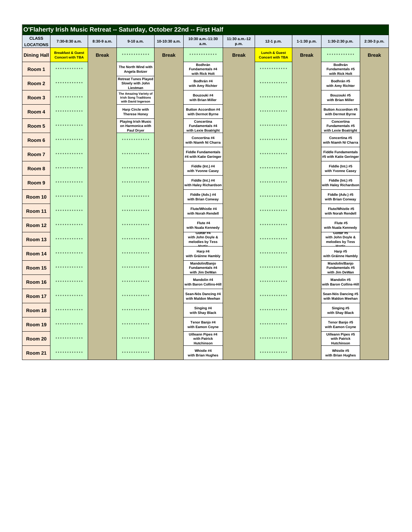|                                  |                                                         |              |                                                                               |               | O'Flaherty Irish Music Retreat -- Saturday, October 22nd -- First Half |                       |                                                     |               |                                                        |              |
|----------------------------------|---------------------------------------------------------|--------------|-------------------------------------------------------------------------------|---------------|------------------------------------------------------------------------|-----------------------|-----------------------------------------------------|---------------|--------------------------------------------------------|--------------|
| <b>CLASS</b><br><b>LOCATIONS</b> | 7:30-8:30 a.m.                                          | 8:30-9 a.m.  | 9-10 a.m.                                                                     | 10-10:30 a.m. | 10:30 a.m.-11:30<br>a.m.                                               | 11:30 a.m.-12<br>p.m. | 12-1 p.m.                                           | $1-1:30 p.m.$ | $1:30-2:30$ p.m.                                       | 2:30-3 p.m.  |
| <b>Dining Hall</b>               | <b>Breakfast &amp; Guest</b><br><b>Concert with TBA</b> | <b>Break</b> | ************                                                                  | <b>Break</b>  | ************                                                           | <b>Break</b>          | <b>Lunch &amp; Guest</b><br><b>Concert with TBA</b> | <b>Break</b>  | ************                                           | <b>Break</b> |
| Room 1                           | ************                                            |              | The North Wind with<br>Angela Botzer                                          |               | Bodhrán<br><b>Fundamentals #4</b><br>with Rick Holt                    |                       | ************                                        |               | Bodhrán<br>Fundamentals #5<br>with Rick Holt           |              |
| Room <sub>2</sub>                | * * * * * * * * * * * *                                 |              | <b>Retreat Tunes Played</b><br>Slowly with John<br>Liestman                   |               | Bodhrán #4<br>with Amy Richter                                         |                       | ************                                        |               | Bodhrán #5<br>with Amy Richter                         |              |
| Room <sub>3</sub>                | * * * * * * * * * * * *                                 |              | The Amazing Variety of<br><b>Irish Song Traditions</b><br>with David Ingerson |               | Bouzouki #4<br>with Brian Miller                                       |                       | ************                                        |               | Bouzouki #5<br>with Brian Miller                       |              |
| Room 4                           | ************                                            |              | <b>Harp Circle with</b><br><b>Therese Honey</b>                               |               | <b>Button Accordion #4</b><br>with Dermot Byrne                        |                       | ************                                        |               | <b>Button Accordion #5</b><br>with Dermot Byrne        |              |
| Room 5                           | * * * * * * * * * * * *                                 |              | <b>Playing Irish Music</b><br>on Harmonica with<br>Paul Dryer                 |               | Concertina<br>Fundamentals #4<br>with Lexie Boatright                  |                       | *************                                       |               | Concertina<br>Fundamentals #5<br>with Lexie Boatright  |              |
| Room 6                           | ************                                            |              | ************                                                                  |               | Concertina #4<br>with Niamh Ní Charra                                  |                       | * * * * * * * * * * * *                             |               | Concertina #5<br>with Niamh Ní Charra                  |              |
| Room 7                           | * * * * * * * * * * * *                                 |              | ************                                                                  |               | <b>Fiddle Fundamentals</b><br>#4 with Katie Geringer                   |                       | ************                                        |               | <b>Fiddle Fundamentals</b><br>#5 with Katie Geringer   |              |
| Room 8                           | *********                                               |              | . * * * * * * * * * * *                                                       |               | Fiddle (Int.) #4<br>with Yvonne Casey                                  |                       | ************                                        |               | Fiddle (Int.) #5<br>with Yvonne Casey                  |              |
| Room 9                           | * * * * * * * * * * * *                                 |              | ************                                                                  |               | Fiddle (Int.) #4<br>with Haley Richardson                              |                       | ************                                        |               | Fiddle (Int.) #5<br>with Haley Richardson              |              |
| Room 10                          | * * * * * * * * * * * *                                 |              | ************                                                                  |               | Fiddle (Adv.) #4<br>with Brian Conway                                  |                       | ************                                        |               | Fiddle (Adv.) #5<br>with Brian Conway                  |              |
| Room 11                          | ********                                                |              | ************                                                                  |               | Flute/Whistle #4<br>with Norah Rendell                                 |                       | ************                                        |               | Flute/Whistle #5<br>with Norah Rendell                 |              |
| Room 12                          | * * * * * * * * * * * *                                 |              | ************                                                                  |               | Flute #4<br>with Nuala Kennedy<br>Gunar#4                              |                       | ************                                        |               | Flute #5<br>with Nuala Kennedy<br>Guitar #5            |              |
| Room 13                          | * * * * * * * * * * * *                                 |              | ************                                                                  |               | with John Doyle &<br>melodies by Tess<br>Horti                         |                       | * * * * * * * * * * * *                             |               | with John Doyle &<br>melodies by Tess<br>Horti.        |              |
| Room 14                          | ************                                            |              | ************                                                                  |               | Harp #4<br>with Gráinne Hambly                                         |                       | ************                                        |               | Harp #5<br>with Gráinne Hambly                         |              |
| Room 15                          | .                                                       |              | ************                                                                  |               | <b>Mandolin/Banjo</b><br>Fundamentals #4<br>with Jim DeWan             |                       | ************                                        |               | Mandolin/Banjo<br>Fundamentals #5<br>with Jim DeWan    |              |
| Room 16                          | ************                                            |              | ************                                                                  |               | Mandolin #4<br>with Baron Collins-Hill                                 |                       | ************                                        |               | Mandolin #5<br>with Baron Collins-Hill                 |              |
| Room 17                          | ************                                            |              | ************                                                                  |               | Sean-Nós Dancing #4<br>with Maldon Meehan                              |                       | ************                                        |               | Sean-Nós Dancing #5<br>with Maldon Meehan              |              |
| Room 18                          | . * * * * * * * * * * *                                 |              | * * * * * * * * * * *                                                         |               | Singing #4<br>with Shay Black                                          |                       | ***********                                         |               | Singing #5<br>with Shay Black                          |              |
| Room 19                          | ************                                            |              | *************                                                                 |               | Tenor Banjo #4<br>with Eamon Coyne                                     |                       | ************                                        |               | Tenor Banjo #5<br>with Eamon Coyne                     |              |
| Room 20                          | * * * * * * * * * * * *                                 |              | ************                                                                  |               | <b>Uilleann Pipes #4</b><br>with Patrick<br>Hutchinson                 |                       | ************                                        |               | <b>Uilleann Pipes #5</b><br>with Patrick<br>Hutchinson |              |
| Room 21                          | * * * * * * * * * * * *                                 |              | ************                                                                  |               | Whistle #4<br>with Brian Hughes                                        |                       | ************                                        |               | Whistle #5<br>with Brian Hughes                        |              |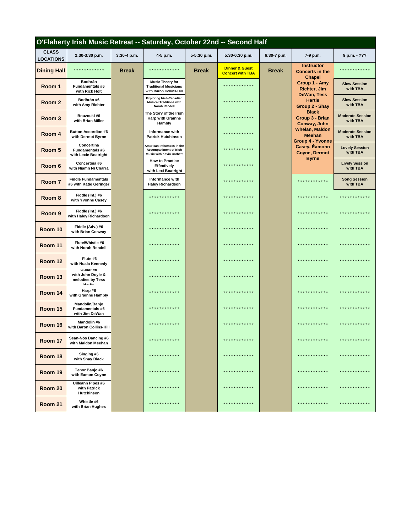|                                  | O'Flaherty Irish Music Retreat -- Saturday, October 22nd -- Second Half |              |                                                                                           |              |                                                      |              |                                                              |                                     |
|----------------------------------|-------------------------------------------------------------------------|--------------|-------------------------------------------------------------------------------------------|--------------|------------------------------------------------------|--------------|--------------------------------------------------------------|-------------------------------------|
| <b>CLASS</b><br><b>LOCATIONS</b> | 2:30-3:30 p.m.                                                          | 3:30-4 p.m.  | 4-5 p.m.                                                                                  | 5-5:30 p.m.  | 5:30-6:30 p.m.                                       | 6:30-7 p.m.  | 7-9 p.m.                                                     | 9 p.m. - ???                        |
| <b>Dining Hall</b>               | * * * * * * * * *                                                       | <b>Break</b> | * * * * * * * * *                                                                         | <b>Break</b> | <b>Dinner &amp; Guest</b><br><b>Concert with TBA</b> | <b>Break</b> | <b>Instructor</b><br><b>Concerts in the</b><br><b>Chapel</b> |                                     |
| Room 1                           | <b>Bodhrán</b><br><b>Fundamentals #6</b><br>with Rick Holt              |              | <b>Music Theory for</b><br><b>Traditional Musicians</b><br>with Baron Collins-Hill        |              | * * * * * * * * * * *                                |              | Group 1 - Amy<br><b>Richter, Jim</b><br>DeWan, Tess          | <b>Slow Session</b><br>with TBA     |
| Room 2                           | Bodhrán #6<br>with Amy Richter                                          |              | <b>Exploring Irish-Canadian</b><br><b>Musical Traditions with</b><br><b>Norah Rendell</b> |              | ***********                                          |              | <b>Hartis</b><br>Group 2 - Shay                              | <b>Slow Session</b><br>with TBA     |
| Room 3                           | Bouzouki #6<br>with Brian Miller                                        |              | The Story of the Irish<br><b>Harp with Gráinne</b><br>Hambly                              |              | * * * * * * * * * * *                                |              | <b>Black</b><br>Group 3 - Brian<br>Conway, John              | <b>Moderate Session</b><br>with TBA |
| Room 4                           | <b>Button Accordion #6</b><br>with Dermot Byrne                         |              | Informance with<br><b>Patrick Hutchinson</b>                                              |              | * * * * * * * * * *                                  |              | <b>Whelan, Maldon</b><br><b>Meehan</b><br>Group 4 - Yvonne   | <b>Moderate Session</b><br>with TBA |
| Room 5                           | Concertina<br><b>Fundamentals #6</b><br>with Lexie Boatright            |              | American Influences in the<br>Accompaniment of Irish<br><b>Music with Kevin Corbett</b>   |              | * * * * * * * * * * *                                |              | Casey, Eamonn<br><b>Coyne, Dermot</b><br><b>Byrne</b>        | <b>Lovely Session</b><br>with TBA   |
| Room 6                           | Concertina #6<br>with Niamh Ní Charra                                   |              | <b>How to Practice</b><br><b>Effectively</b><br>with Lexi Boatright                       |              | * * * * * * * * * *                                  |              |                                                              | <b>Lively Session</b><br>with TBA   |
| Room 7                           | <b>Fiddle Fundamentals</b><br>#6 with Katie Geringer                    |              | Informance with<br><b>Haley Richardson</b>                                                |              | * * * * * * * * *                                    |              | * * * * * * * * *                                            | <b>Song Session</b><br>with TBA     |
| Room 8                           | Fiddle (Int.) #6<br>with Yvonne Casey                                   |              | * * * * * * * * * * * *                                                                   |              | * * * * * * * * *                                    |              |                                                              |                                     |
| Room 9                           | Fiddle (Int.) #6<br>with Haley Richardson                               |              | * * * * * * * * * * * *                                                                   |              | *********                                            |              | **********                                                   |                                     |
| Room 10                          | Fiddle (Adv.) #6<br>with Brian Conway                                   |              | .                                                                                         |              | **********                                           |              | **********                                                   | * * * * * * * * *                   |
| Room 11                          | Flute/Whistle #6<br>with Norah Rendell                                  |              | * * * * * * * * * * * *                                                                   |              | * * * * * * * * *                                    |              | * * * * * * * * *                                            | * * * * * * * * *                   |
| Room 12                          | Flute #6<br>with Nuala Kennedy<br>Guitar #6                             |              | * * * * * * * * * * * *                                                                   |              | **********                                           |              | * * * * * * * * * * * *                                      | * * * * * * * *                     |
| Room 13                          | with John Doyle &<br>melodies by Tess<br>Hortis                         |              | * * * * * * * * * * * *                                                                   |              | ***********                                          |              | * * * * * * * * * * * *                                      | * * * * * * * * * *                 |
| Room 14                          | Harp#6<br>with Gráinne Hambly                                           |              | * * * * * * * * * * * *                                                                   |              | ***********                                          |              | * * * * * * * * * * * *                                      | * * * * * * * * * *                 |
| Room 15                          | Mandolin/Banjo<br>Fundamentals #6<br>with Jim DeWan                     |              | * * * * * * * * * * * *                                                                   |              | * * * * * * * * * *                                  |              | * * * * * * * * * * * *                                      | .                                   |
| Room 16                          | Mandolin #6<br>with Baron Collins-Hill                                  |              | * * * * * * * * * * * *                                                                   |              |                                                      |              | * * * * * * * * *                                            | * * * * * * * * * *                 |
| Room 17                          | Sean-Nós Dancing #6<br>with Maldon Meehan                               |              | * * * * * * * * * * * *                                                                   |              | * * * * * * * * * * * *                              |              | * * * * * * * * * * * *                                      | * * * * * * * * * * * *             |
| Room 18                          | Singing #6<br>with Shay Black                                           |              | * * * * * * * * * * * *                                                                   |              | ***********                                          |              | ************                                                 | * * * * * * * * * * * *             |
| Room 19                          | Tenor Banjo #6<br>with Eamon Coyne                                      |              | * * * * * * * * * * * *                                                                   |              | * * * * * * * * * * *                                |              | .                                                            | * * * * * * * * * * * *             |
| Room 20                          | <b>Uilleann Pipes #6</b><br>with Patrick<br><b>Hutchinson</b>           |              | * * * * * * * * * * * *                                                                   |              | * * * * * * * * * * *                                |              | * * * * * * * * * * * *                                      | * * * * * * * * * * *               |
| Room 21                          | Whistle #6<br>with Brian Hughes                                         |              | * * * * * * * * *                                                                         |              | * * * * * * * * *                                    |              |                                                              |                                     |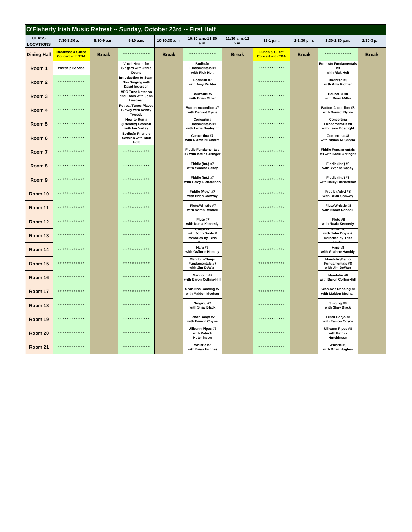|                                  |                                                         |              | O'Flaherty Irish Music Retreat -- Sunday, October 23rd -- First Half |               |                                                        |                       |                                                     |              |                                                              |              |
|----------------------------------|---------------------------------------------------------|--------------|----------------------------------------------------------------------|---------------|--------------------------------------------------------|-----------------------|-----------------------------------------------------|--------------|--------------------------------------------------------------|--------------|
| <b>CLASS</b><br><b>LOCATIONS</b> | 7:30-8:30 a.m.                                          | 8:30-9 a.m.  | 9-10 a.m.                                                            | 10-10:30 a.m. | 10:30 a.m. 11:30<br>a.m.                               | 11:30 a.m.-12<br>p.m. | 12-1 p.m.                                           | 1-1:30 p.m.  | 1:30-2:30 p.m.                                               | 2:30-3 p.m.  |
| <b>Dining Hall</b>               | <b>Breakfast &amp; Guest</b><br><b>Concert with TBA</b> | <b>Break</b> | ************                                                         | <b>Break</b>  | ************                                           | <b>Break</b>          | <b>Lunch &amp; Guest</b><br><b>Concert with TBA</b> | <b>Break</b> | .                                                            | <b>Break</b> |
| Room 1                           | <b>Worship Service</b>                                  |              | Vocal Health for<br>Singers with Janis<br>Deane                      |               | Bodhrán<br>Fundamentals #7<br>with Rick Holt           |                       | .                                                   |              | <b>Bodhrán Fundamentals</b><br>#8<br>with Rick Holt          |              |
| Room 2                           | .                                                       |              | Introduction to Sean-<br>Nós Singing with<br>David Ingerson          |               | Bodhrán #7<br>with Amy Richter                         |                       | ************                                        |              | Bodhrán #8<br>with Amy Richter                               |              |
| Room <sub>3</sub>                | * * * * * * * * * * * *                                 |              | <b>ABC Tune Notation</b><br>and Tools with John<br>Liestman          |               | Bouzouki #7<br>with Brian Miller                       |                       | ************                                        |              | Bouzouki #8<br>with Brian Miller                             |              |
| Room 4                           | * * * * * * * * * * * *                                 |              | <b>Retreat Tunes Played</b><br><b>Slowly with Kenny</b><br>Tweedy    |               | <b>Button Accordion #7</b><br>with Dermot Byrne        |                       |                                                     |              | <b>Button Accordion #8</b><br>with Dermot Byrne              |              |
| Room 5                           | .                                                       |              | How to Run a<br>(Friendly) Session<br>with lan Varley                |               | Concertina<br>Fundamentals #7<br>with Lexie Boatright  |                       | *************                                       |              | Concertina<br><b>Fundamentals #8</b><br>with Lexie Boatright |              |
| Room 6                           | * * * * * * * * * * * *                                 |              | <b>Bodhrán Friendly</b><br><b>Session with Rick</b><br>Holt          |               | Concertina #7<br>with Niamh Ní Charra                  |                       | ************                                        |              | Concertina #8<br>with Niamh Ní Charra                        |              |
| Room 7                           | .                                                       |              | ************                                                         |               | <b>Fiddle Fundamentals</b><br>#7 with Katie Geringer   |                       | .                                                   |              | <b>Fiddle Fundamentals</b><br>#8 with Katie Geringer         |              |
| Room 8                           | * * * * * * * * * * * *                                 |              | ************                                                         |               | Fiddle (Int.) #7<br>with Yvonne Casey                  |                       |                                                     |              | Fiddle (Int.) #8<br>with Yvonne Casey                        |              |
| Room 9                           | * * * * * * * * * * * *                                 |              | ************                                                         |               | Fiddle (Int.) #7<br>with Haley Richardson              |                       | ************                                        |              | Fiddle (Int.) #8<br>with Haley Richardson                    |              |
| Room 10                          | * * * * * * * * * * * *                                 |              | ************                                                         |               | Fiddle (Adv.) #7<br>with Brian Conway                  |                       | ************                                        |              | Fiddle (Adv.) #8<br>with Brian Conway                        |              |
| Room 11                          | *********                                               |              |                                                                      |               | Flute/Whistle #7<br>with Norah Rendell                 |                       | .                                                   |              | Flute/Whistle #8<br>with Norah Rendell                       |              |
| Room 12                          | * * * * * * * * * * * *                                 |              | .                                                                    |               | Flute #7<br>with Nuala Kennedy<br>$G$ litar #7         |                       | ************                                        |              | Flute #8<br>with Nuala Kennedy<br>GUITAR #8                  |              |
| Room 13                          | ************                                            |              |                                                                      |               | with John Doyle &<br>melodies by Tess                  |                       |                                                     |              | with John Doyle &<br>melodies by Tess                        |              |
| Room 14                          | * * * * * * * * * * * *                                 |              | ************                                                         |               | Harp #7<br>with Gráinne Hambly                         |                       | ************                                        |              | Harp #8<br>with Gráinne Hambly                               |              |
| Room 15                          | .                                                       |              |                                                                      |               | Mandolin/Banjo<br>Fundamentals #7<br>with Jim DeWan    |                       | ************                                        |              | Mandolin/Banjo<br>Fundamentals #8<br>with Jim DeWan          |              |
| Room 16                          | .                                                       |              | *************                                                        |               | Mandolin #7<br>with Baron Collins-Hill                 |                       | *************                                       |              | Mandolin #8<br>with Baron Collins-Hill                       |              |
| Room 17                          | * * * * * * * * * * * *                                 |              | ************                                                         |               | Sean-Nós Dancing #7<br>with Maldon Meehan              |                       | ************                                        |              | Sean-Nós Dancing #8<br>with Maldon Meehan                    |              |
| Room 18                          | .                                                       |              | . <b>.</b> .                                                         |               | Singing #7<br>with Shay Black                          |                       | .                                                   |              | Singing #8<br>with Shay Black                                |              |
| Room 19                          | .                                                       |              |                                                                      |               | Tenor Banjo #7<br>with Eamon Coyne                     |                       |                                                     |              | Tenor Banjo #8<br>with Eamon Coyne                           |              |
| Room 20                          | * * * * * * * * * * * *                                 |              | ************                                                         |               | <b>Uilleann Pipes #7</b><br>with Patrick<br>Hutchinson |                       | ************                                        |              | <b>Uilleann Pipes #8</b><br>with Patrick<br>Hutchinson       |              |
| Room 21                          | ************                                            |              | ************                                                         |               | Whistle #7<br>with Brian Hughes                        |                       | ************                                        |              | Whistle #8<br>with Brian Hughes                              |              |